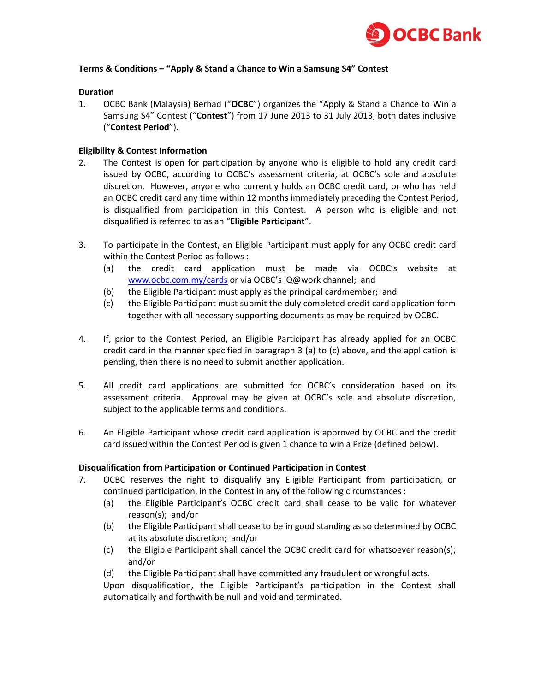

# **Terms & Conditions – "Apply & Stand a Chance to Win a Samsung S4" Contest**

# **Duration**

1. OCBC Bank (Malaysia) Berhad ("**OCBC**") organizes the "Apply & Stand a Chance to Win a Samsung S4" Contest ("**Contest**") from 17 June 2013 to 31 July 2013, both dates inclusive ("**Contest Period**").

# **Eligibility & Contest Information**

- 2. The Contest is open for participation by anyone who is eligible to hold any credit card issued by OCBC, according to OCBC's assessment criteria, at OCBC's sole and absolute discretion. However, anyone who currently holds an OCBC credit card, or who has held an OCBC credit card any time within 12 months immediately preceding the Contest Period, is disqualified from participation in this Contest. A person who is eligible and not disqualified is referred to as an "**Eligible Participant**".
- 3. To participate in the Contest, an Eligible Participant must apply for any OCBC credit card within the Contest Period as follows :
	- (a) the credit card application must be made via OCBC's website at [www.ocbc.com.my/cards](http://www.ocbc.com.my/cards) or via OCBC's iQ@work channel; and
	- (b) the Eligible Participant must apply as the principal cardmember; and
	- (c) the Eligible Participant must submit the duly completed credit card application form together with all necessary supporting documents as may be required by OCBC.
- 4. If, prior to the Contest Period, an Eligible Participant has already applied for an OCBC credit card in the manner specified in paragraph 3 (a) to (c) above, and the application is pending, then there is no need to submit another application.
- 5. All credit card applications are submitted for OCBC's consideration based on its assessment criteria. Approval may be given at OCBC's sole and absolute discretion, subject to the applicable terms and conditions.
- 6. An Eligible Participant whose credit card application is approved by OCBC and the credit card issued within the Contest Period is given 1 chance to win a Prize (defined below).

#### **Disqualification from Participation or Continued Participation in Contest**

- 7. OCBC reserves the right to disqualify any Eligible Participant from participation, or continued participation, in the Contest in any of the following circumstances :
	- (a) the Eligible Participant's OCBC credit card shall cease to be valid for whatever reason(s); and/or
	- (b) the Eligible Participant shall cease to be in good standing as so determined by OCBC at its absolute discretion; and/or
	- (c) the Eligible Participant shall cancel the OCBC credit card for whatsoever reason(s); and/or
	- (d) the Eligible Participant shall have committed any fraudulent or wrongful acts.

Upon disqualification, the Eligible Participant's participation in the Contest shall automatically and forthwith be null and void and terminated.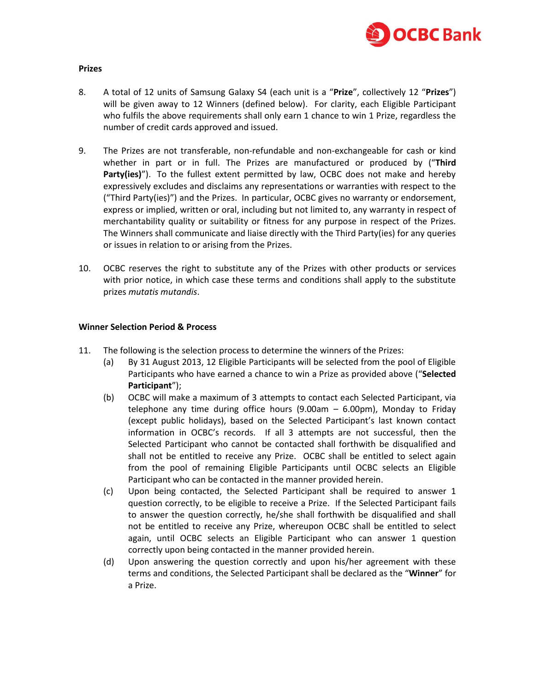

### **Prizes**

- 8. A total of 12 units of Samsung Galaxy S4 (each unit is a "**Prize**", collectively 12 "**Prizes**") will be given away to 12 Winners (defined below). For clarity, each Eligible Participant who fulfils the above requirements shall only earn 1 chance to win 1 Prize, regardless the number of credit cards approved and issued.
- 9. The Prizes are not transferable, non-refundable and non-exchangeable for cash or kind whether in part or in full. The Prizes are manufactured or produced by ("**Third Party(ies)**"). To the fullest extent permitted by law, OCBC does not make and hereby expressively excludes and disclaims any representations or warranties with respect to the ("Third Party(ies)") and the Prizes. In particular, OCBC gives no warranty or endorsement, express or implied, written or oral, including but not limited to, any warranty in respect of merchantability quality or suitability or fitness for any purpose in respect of the Prizes. The Winners shall communicate and liaise directly with the Third Party(ies) for any queries or issues in relation to or arising from the Prizes.
- 10. OCBC reserves the right to substitute any of the Prizes with other products or services with prior notice, in which case these terms and conditions shall apply to the substitute prizes *mutatis mutandis*.

# **Winner Selection Period & Process**

- 11. The following is the selection process to determine the winners of the Prizes:
	- (a) By 31 August 2013, 12 Eligible Participants will be selected from the pool of Eligible Participants who have earned a chance to win a Prize as provided above ("**Selected Participant**");
	- (b) OCBC will make a maximum of 3 attempts to contact each Selected Participant, via telephone any time during office hours  $(9.00am - 6.00pm)$ , Monday to Friday (except public holidays), based on the Selected Participant's last known contact information in OCBC's records. If all 3 attempts are not successful, then the Selected Participant who cannot be contacted shall forthwith be disqualified and shall not be entitled to receive any Prize. OCBC shall be entitled to select again from the pool of remaining Eligible Participants until OCBC selects an Eligible Participant who can be contacted in the manner provided herein.
	- (c) Upon being contacted, the Selected Participant shall be required to answer 1 question correctly, to be eligible to receive a Prize. If the Selected Participant fails to answer the question correctly, he/she shall forthwith be disqualified and shall not be entitled to receive any Prize, whereupon OCBC shall be entitled to select again, until OCBC selects an Eligible Participant who can answer 1 question correctly upon being contacted in the manner provided herein.
	- (d) Upon answering the question correctly and upon his/her agreement with these terms and conditions, the Selected Participant shall be declared as the "**Winner**" for a Prize.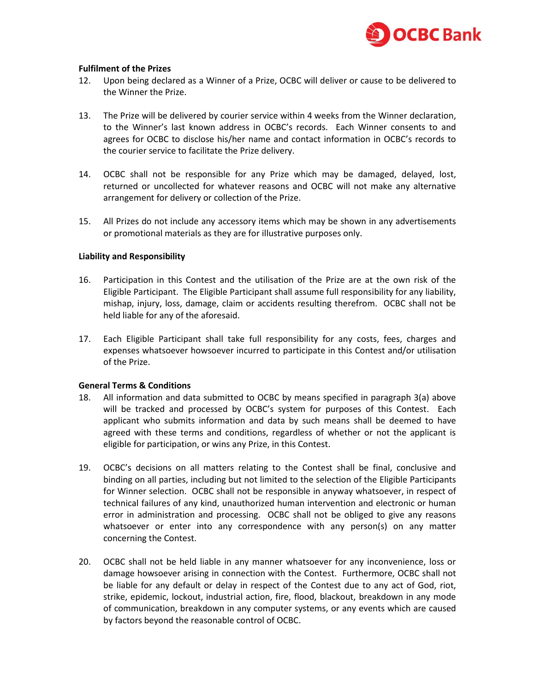

# **Fulfilment of the Prizes**

- 12. Upon being declared as a Winner of a Prize, OCBC will deliver or cause to be delivered to the Winner the Prize.
- 13. The Prize will be delivered by courier service within 4 weeks from the Winner declaration, to the Winner's last known address in OCBC's records. Each Winner consents to and agrees for OCBC to disclose his/her name and contact information in OCBC's records to the courier service to facilitate the Prize delivery.
- 14. OCBC shall not be responsible for any Prize which may be damaged, delayed, lost, returned or uncollected for whatever reasons and OCBC will not make any alternative arrangement for delivery or collection of the Prize.
- 15. All Prizes do not include any accessory items which may be shown in any advertisements or promotional materials as they are for illustrative purposes only.

## **Liability and Responsibility**

- 16. Participation in this Contest and the utilisation of the Prize are at the own risk of the Eligible Participant. The Eligible Participant shall assume full responsibility for any liability, mishap, injury, loss, damage, claim or accidents resulting therefrom. OCBC shall not be held liable for any of the aforesaid.
- 17. Each Eligible Participant shall take full responsibility for any costs, fees, charges and expenses whatsoever howsoever incurred to participate in this Contest and/or utilisation of the Prize.

#### **General Terms & Conditions**

- 18. All information and data submitted to OCBC by means specified in paragraph 3(a) above will be tracked and processed by OCBC's system for purposes of this Contest. Each applicant who submits information and data by such means shall be deemed to have agreed with these terms and conditions, regardless of whether or not the applicant is eligible for participation, or wins any Prize, in this Contest.
- 19. OCBC's decisions on all matters relating to the Contest shall be final, conclusive and binding on all parties, including but not limited to the selection of the Eligible Participants for Winner selection. OCBC shall not be responsible in anyway whatsoever, in respect of technical failures of any kind, unauthorized human intervention and electronic or human error in administration and processing. OCBC shall not be obliged to give any reasons whatsoever or enter into any correspondence with any person(s) on any matter concerning the Contest.
- 20. OCBC shall not be held liable in any manner whatsoever for any inconvenience, loss or damage howsoever arising in connection with the Contest. Furthermore, OCBC shall not be liable for any default or delay in respect of the Contest due to any act of God, riot, strike, epidemic, lockout, industrial action, fire, flood, blackout, breakdown in any mode of communication, breakdown in any computer systems, or any events which are caused by factors beyond the reasonable control of OCBC.